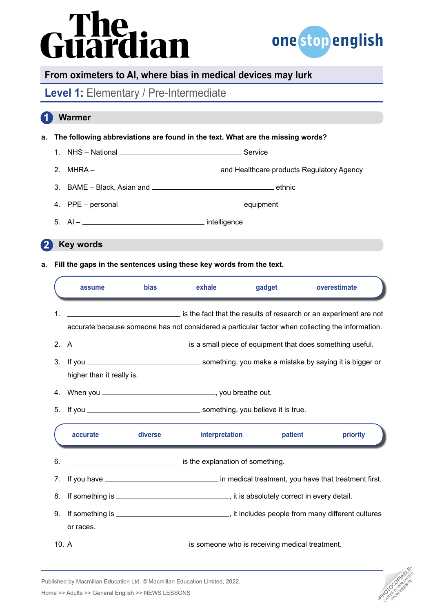# Guardian



### **From oximeters to AI, where bias in medical devices may lurk**

## Level 1: Elementary / Pre-Intermediate

## **Warmer 1**

- **a. The following abbreviations are found in the text. What are the missing words?**
	- 1. NHS National Service
	- 2. MHRA and Healthcare products Regulatory Agency
	- 3. BAME Black, Asian and ethnic
	- 4. PPE personal equipment
	- $5. \quad Al -$  intelligence

**Key words 2**

**a. Fill the gaps in the sentences using these key words from the text.**

|    | assume                                                                                                                                                                | bias    | exhale                           | gadget  | overestimate |
|----|-----------------------------------------------------------------------------------------------------------------------------------------------------------------------|---------|----------------------------------|---------|--------------|
| 1. | is the fact that the results of research or an experiment are not<br>accurate because someone has not considered a particular factor when collecting the information. |         |                                  |         |              |
|    |                                                                                                                                                                       |         |                                  |         |              |
|    | higher than it really is.                                                                                                                                             |         |                                  |         |              |
| 4. |                                                                                                                                                                       |         |                                  |         |              |
| 5. | If you <u>__________________________________</u> something, you believe it is true.                                                                                   |         |                                  |         |              |
|    | accurate                                                                                                                                                              | diverse | interpretation                   | patient | priority     |
| 6. |                                                                                                                                                                       |         | is the explanation of something. |         |              |
| 7. |                                                                                                                                                                       |         |                                  |         |              |
| 8. |                                                                                                                                                                       |         |                                  |         |              |
| 9. | or races.                                                                                                                                                             |         |                                  |         |              |
|    |                                                                                                                                                                       |         |                                  |         |              |



Published by Macmillan Education Ltd. © Macmillan Education Limited, 2022.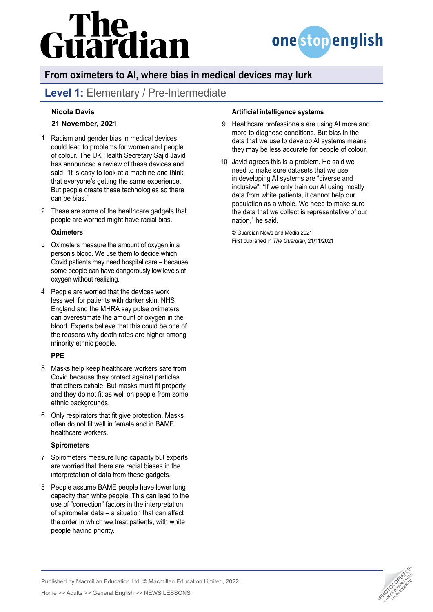## uardian



## **From oximeters to AI, where bias in medical devices may lurk**

## Level 1: Elementary / Pre-Intermediate

### **[Nicola Davis](https://www.theguardian.com/profile/nicola-davis)**

### **21 November, 2021**

- Racism and gender bias in medical devices 1 could lead to problems for women and people of colour. The UK Health Secretary Sajid Javid has announced a review of these devices and said: "It is easy to look at a machine and think that everyone's getting the same experience. But people create these technologies so there can be bias."
- These are some of the healthcare gadgets that 2 people are worried might have racial bias.

### **Oximeters**

- Oximeters measure the amount of oxygen in a 3 person's blood. We use them to decide which Covid patients may need hospital care – because some people can have dangerously low levels of oxygen without realizing.
- 4 People are worried that the devices work [less well for patients with darker skin](https://www.bbc.co.uk/news/health-58032842). NHS England and the MHRA say pulse oximeters can [overestimate the amount of oxygen in the](https://www.independent.co.uk/news/health/nhs-blood-oxygen-oximeter-black-asian-b1894424.html)  [blood](https://www.independent.co.uk/news/health/nhs-blood-oxygen-oximeter-black-asian-b1894424.html). Experts believe that this [could be one of](https://www.independent.co.uk/news/health/covid-oximeters-death-bame-b1823060.html)  [the reasons](https://www.independent.co.uk/news/health/covid-oximeters-death-bame-b1823060.html) why death rates are higher among minority ethnic people.

### **PPE**

- Masks help keep healthcare workers safe from 5 Covid because they protect against particles that others exhale. But masks must fit properly and they do not fit as well on people from some ethnic backgrounds.
- 6 Only respirators that fit give protection. Masks often do not fit well in female and in BAME healthcare workers.

### **Spirometers**

- 7 Spirometers measure lung capacity but experts are worried that there are racial biases in the interpretation of data from these gadgets.
- 8 People assume BAME people have lower lung capacity than white people. This can lead to the use of "correction" factors in the interpretation of spirometer data – a situation that can affect the order in which we treat patients, with white people having priority.

### **Artificial intelligence systems**

- 9 Healthcare professionals are using AI more and more to diagnose conditions. But bias in the data that we use to develop AI systems means they may be less accurate for people of colour.
- Javid agrees this is a problem. He said we 10need to make sure datasets that we use in developing AI systems are "diverse and inclusive". "If we only train our AI using mostly data from white patients, it cannot help our population as a whole. We need to make sure the data that we collect is representative of our nation," he said.

© Guardian News and Media 2021 First published in *The Guardian*, 21/11/2021



Published by Macmillan Education Ltd. © Macmillan Education Limited, 2022.

Home >> Adults >> General English >> NEWS LESSONS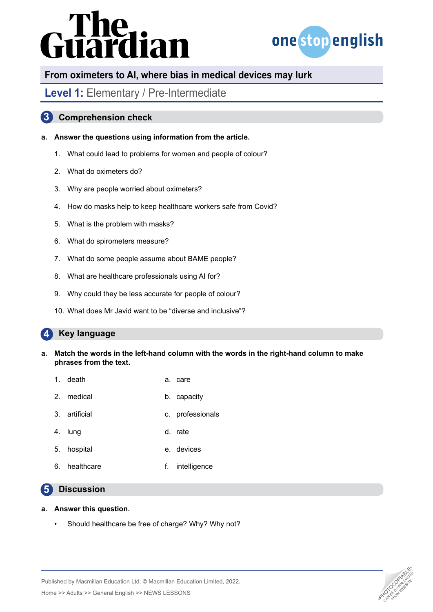# **Guardian**



## **From oximeters to AI, where bias in medical devices may lurk**

## Level 1: Elementary / Pre-Intermediate

### **3 Comprehension check**

### **a. Answer the questions using information from the article.**

- 1. What could lead to problems for women and people of colour?
- 2. What do oximeters do?
- 3. Why are people worried about oximeters?
- 4. How do masks help to keep healthcare workers safe from Covid?
- 5. What is the problem with masks?
- 6. What do spirometers measure?
- 7. What do some people assume about BAME people?
- 8. What are healthcare professionals using AI for?
- 9. Why could they be less accurate for people of colour?
- 10. What does Mr Javid want to be "diverse and inclusive"?

#### **4 Key language**

- **a. Match the words in the left-hand column with the words in the right-hand column to make phrases from the text.**
	- 1. death a. care
	- 2. medical b. capacity
	- 3. artificial c. professionals
	- 4. lung d. rate
	- 5. hospital e. devices
	- 6. healthcare f. intelligence

#### **5 Discussion**

### **a. Answer this question.**

• Should healthcare be free of charge? Why? Why not?



Published by Macmillan Education Ltd. © Macmillan Education Limited, 2022.

Home >> Adults >> General English >> NEWS LESSONS